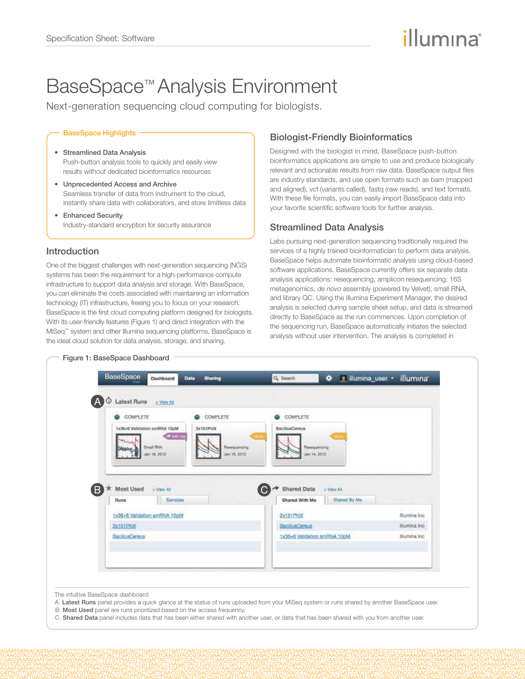# illumına

# BaseSpace™ Analysis Environment

Next-generation sequencing cloud computing for biologists.

#### BaseSpace Highlights

- • Streamlined Data Analysis Push-button analysis tools to quickly and easily view results without dedicated bioinformatics resources
- • Unprecedented Access and Archive Seamless transfer of data from instrument to the cloud, instantly share data with collaborators, and store limitless data
- • Enhanced Security Industry-standard encryption for security assurance

#### Introduction

One of the biggest challenges with next-generation sequencing (NGS) systems has been the requirement for a high-performance compute infrastructure to support data analysis and storage. With BaseSpace, you can eliminate the costs associated with maintaining an information technology (IT) infrastructure, freeing you to focus on your research. BaseSpace is the first cloud computing platform designed for biologists. With its user-friendly features (Figure 1) and direct integration with the MiSeq™ system and other Illumina sequencing platforms, BaseSpace is the ideal cloud solution for data analysis, storage, and sharing.

Figure 1: BaseSpace Dashboard

### Biologist-Friendly Bioinformatics

Designed with the biologist in mind, BaseSpace push-button bioinformatics applications are simple to use and produce biologically relevant and actionable results from raw data. BaseSpace output files are industry standards, and use open formats such as bam (mapped and aligned), vcf (variants called), fastq (raw reads), and text formats. With these file formats, you can easily import BaseSpace data into your favorite scientific software tools for further analysis.

#### Streamlined Data Analysis

Labs pursuing next-generation sequencing traditionally required the services of a highly trained bioinformatician to perform data analysis. BaseSpace helps automate bioinformatic analysis using cloud-based software applications. BaseSpace currently offers six separate data analysis applications: resequencing, amplicon resequencing, 16S metagenomics, *de novo* assembly (powered by Velvet), small RNA, and library QC. Using the Illumina Experiment Manager, the desired analysis is selected during sample sheet setup, and data is streamed directly to BaseSpace as the run commences. Upon completion of the sequencing run, BaseSpace automatically initiates the selected analysis without user intervention. The analysis is completed in



The intuitive BaseSpace dashboard:

- A. Latest Runs panel provides a quick glance at the status of runs uploaded from your MiSeg system or runs shared by another BaseSpace user.
- B. Most Used panel are runs prioritized based on the access frequency.
- C. Shared Data panel includes data that has been either shared with another user, or data that has been shared with you from another user.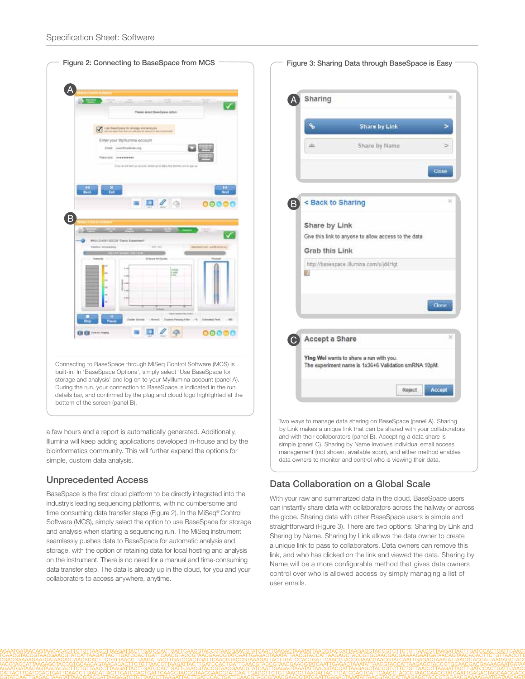

a few hours and a report is automatically generated. Additionally, Illumina will keep adding applications developed in-house and by the bioinformatics community. This will further expand the options for simple, custom data analysis.

#### Unprecedented Access

BaseSpace is the first cloud platform to be directly integrated into the industry's leading sequencing platforms, with no cumbersome and time consuming data transfer steps (Figure 2). In the MiSeq® Control Software (MCS), simply select the option to use BaseSpace for storage and analysis when starting a sequencing run. The MiSeq instrument seamlessly pushes data to BaseSpace for automatic analysis and storage, with the option of retaining data for local hosting and analysis on the instrument. There is no need for a manual and time-consuming data transfer step. The data is already up in the cloud, for you and your collaborators to access anywhere, anytime.

|                   |                                                                                                 | ×      |
|-------------------|-------------------------------------------------------------------------------------------------|--------|
|                   | Share by Link                                                                                   |        |
| 血                 | Share by Name                                                                                   |        |
|                   |                                                                                                 | Close  |
| < Back to Sharing |                                                                                                 |        |
| Share by Link     |                                                                                                 |        |
|                   | Give this link to anyone to allow access to the data                                            |        |
| Grab this Link    | http://basespace.illumina.com/s/jd4Hgt.                                                         |        |
| 固                 |                                                                                                 | Close  |
| Accept a Share    |                                                                                                 | ×      |
|                   | Ying Wel wants to share a run with you.<br>The experiment name is 1x36+6 Validation smRNA 10pM. |        |
|                   | Reject                                                                                          | Accept |

## Data Collaboration on a Global Scale

With your raw and summarized data in the cloud, BaseSpace users can instantly share data with collaborators across the hallway or across the globe. Sharing data with other BaseSpace users is simple and straightforward (Figure 3). There are two options: Sharing by Link and Sharing by Name. Sharing by Link allows the data owner to create a unique link to pass to collaborators. Data owners can remove this link, and who has clicked on the link and viewed the data. Sharing by Name will be a more configurable method that gives data owners control over who is allowed access by simply managing a list of user emails.